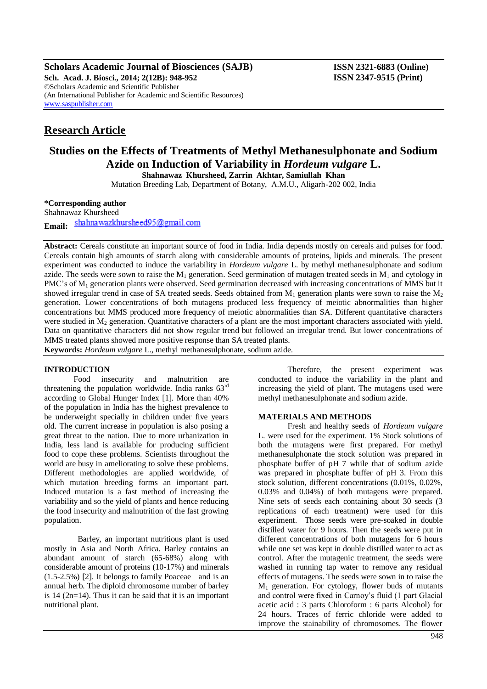**Scholars Academic Journal of Biosciences (SAJB) ISSN 2321-6883 (Online) Sch. Acad. J. Biosci., 2014; 2(12B): 948-952 ISSN 2347-9515 (Print)** ©Scholars Academic and Scientific Publisher (An International Publisher for Academic and Scientific Resources) [www.saspublisher.com](http://www.saspublisher.com/)

# **Research Article**

# **Studies on the Effects of Treatments of Methyl Methanesulphonate and Sodium Azide on Induction of Variability in** *Hordeum vulgare* **L.**

**Shahnawaz Khursheed, Zarrin Akhtar, Samiullah Khan**

Mutation Breeding Lab, Department of Botany, A.M.U., Aligarh-202 002, India

**\*Corresponding author** Shahnawaz Khursheed

shahnawazkhursheed95@gmail.com **Email:**

**Abstract:** Cereals constitute an important source of food in India. India depends mostly on cereals and pulses for food. Cereals contain high amounts of starch along with considerable amounts of proteins, lipids and minerals. The present experiment was conducted to induce the variability in *Hordeum vulgare* L. by methyl methanesulphonate and sodium azide. The seeds were sown to raise the  $M_1$  generation. Seed germination of mutagen treated seeds in  $M_1$  and cytology in PMC's of M<sub>1</sub> generation plants were observed. Seed germination decreased with increasing concentrations of MMS but it showed irregular trend in case of SA treated seeds. Seeds obtained from  $M_1$  generation plants were sown to raise the  $M_2$ generation. Lower concentrations of both mutagens produced less frequency of meiotic abnormalities than higher concentrations but MMS produced more frequency of meiotic abnormalities than SA. Different quantitative characters were studied in  $M<sub>2</sub>$  generation. Quantitative characters of a plant are the most important characters associated with yield. Data on quantitative characters did not show regular trend but followed an irregular trend. But lower concentrations of MMS treated plants showed more positive response than SA treated plants.

**Keywords:** *Hordeum vulgare* L., methyl methanesulphonate, sodium azide.

# **INTRODUCTION**

Food insecurity and malnutrition are threatening the population worldwide. India ranks  $63<sup>rd</sup>$ according to Global Hunger Index [1]. More than 40% of the population in India has the highest prevalence to be underweight specially in children under five years old. The current increase in population is also posing a great threat to the nation. Due to more urbanization in India, less land is available for producing sufficient food to cope these problems. Scientists throughout the world are busy in ameliorating to solve these problems. Different methodologies are applied worldwide, of which mutation breeding forms an important part. Induced mutation is a fast method of increasing the variability and so the yield of plants and hence reducing the food insecurity and malnutrition of the fast growing population.

 Barley, an important nutritious plant is used mostly in Asia and North Africa. Barley contains an abundant amount of starch (65-68%) along with considerable amount of proteins (10-17%) and minerals (1.5-2.5%) [2]. It belongs to family Poaceae and is an annual herb. The diploid chromosome number of barley is 14 (2n=14). Thus it can be said that it is an important nutritional plant.

Therefore, the present experiment was conducted to induce the variability in the plant and increasing the yield of plant. The mutagens used were methyl methanesulphonate and sodium azide.

# **MATERIALS AND METHODS**

Fresh and healthy seeds of *Hordeum vulgare* L. were used for the experiment. 1% Stock solutions of both the mutagens were first prepared. For methyl methanesulphonate the stock solution was prepared in phosphate buffer of pH 7 while that of sodium azide was prepared in phosphate buffer of pH 3. From this stock solution, different concentrations (0.01%, 0.02%, 0.03% and 0.04%) of both mutagens were prepared. Nine sets of seeds each containing about 30 seeds (3 replications of each treatment) were used for this experiment. Those seeds were pre-soaked in double distilled water for 9 hours. Then the seeds were put in different concentrations of both mutagens for 6 hours while one set was kept in double distilled water to act as control. After the mutagenic treatment, the seeds were washed in running tap water to remove any residual effects of mutagens. The seeds were sown in to raise the M<sup>1</sup> generation. For cytology, flower buds of mutants and control were fixed in Carnoy's fluid (1 part Glacial acetic acid : 3 parts Chloroform : 6 parts Alcohol) for 24 hours. Traces of ferric chloride were added to improve the stainability of chromosomes. The flower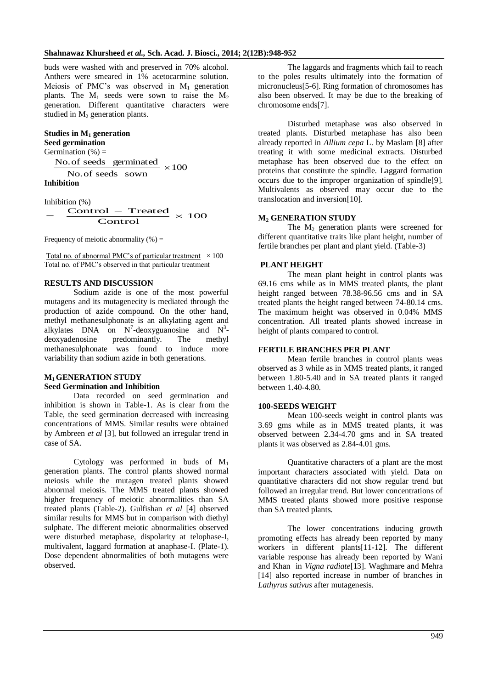buds were washed with and preserved in 70% alcohol. Anthers were smeared in 1% acetocarmine solution. Meiosis of PMC's was observed in  $M_1$  generation plants. The  $M_1$  seeds were sown to raise the  $M_2$ generation. Different quantitative characters were studied in  $M<sub>2</sub>$  generation plants.

## **Studies in M<sup>1</sup> generation**

```
Seed germination 
Germination (\%) =
```
No. of seeds germinated  $\times 100$ No.of seeds sown **Inhibition**

Inhibition (%)  $\times$  100 Control  $\frac{\text{Control}(\text{w})}{\text{Control} - \text{Treated}} \times$  $=$ 

Frequency of meiotic abnormality  $(\%) =$ 

Total no. of abnormal PMC's of particular treatment  $\times 100$ Total no. of PMC's observed in that particular treatment

# **RESULTS AND DISCUSSION**

Sodium azide is one of the most powerful mutagens and its mutagenecity is mediated through the production of azide compound. On the other hand, methyl methanesulphonate is an alkylating agent and alkylates DNA on  $N^7$ -deoxyguanosine and  $N^3$ deoxyadenosine predominantly. The methyl methanesulphonate was found to induce more variability than sodium azide in both generations.

## **M1 GENERATION STUDY Seed Germination and Inhibition**

Data recorded on seed germination and inhibition is shown in Table-1. As is clear from the Table, the seed germination decreased with increasing concentrations of MMS. Similar results were obtained by Ambreen *et al* [3], but followed an irregular trend in case of SA.

Cytology was performed in buds of  $M_1$ generation plants. The control plants showed normal meiosis while the mutagen treated plants showed abnormal meiosis. The MMS treated plants showed higher frequency of meiotic abnormalities than SA treated plants (Table-2). Gulfishan *et al* [4] observed similar results for MMS but in comparison with diethyl sulphate. The different meiotic abnormalities observed were disturbed metaphase, dispolarity at telophase-I, multivalent, laggard formation at anaphase-I. (Plate-1). Dose dependent abnormalities of both mutagens were observed.

The laggards and fragments which fail to reach to the poles results ultimately into the formation of micronucleus[5-6]. Ring formation of chromosomes has also been observed. It may be due to the breaking of chromosome ends[7].

Disturbed metaphase was also observed in treated plants. Disturbed metaphase has also been already reported in *Allium cepa* L. by Maslam [8] after treating it with some medicinal extracts. Disturbed metaphase has been observed due to the effect on proteins that constitute the spindle. Laggard formation occurs due to the improper organization of spindle[9]. Multivalents as observed may occur due to the translocation and inversion[10].

#### **M<sup>2</sup> GENERATION STUDY**

The  $M<sub>2</sub>$  generation plants were screened for different quantitative traits like plant height, number of fertile branches per plant and plant yield. (Table-3)

# **PLANT HEIGHT**

The mean plant height in control plants was 69.16 cms while as in MMS treated plants, the plant height ranged between 78.38-96.56 cms and in SA treated plants the height ranged between 74-80.14 cms. The maximum height was observed in 0.04% MMS concentration. All treated plants showed increase in height of plants compared to control.

## **FERTILE BRANCHES PER PLANT**

Mean fertile branches in control plants weas observed as 3 while as in MMS treated plants, it ranged between 1.80-5.40 and in SA treated plants it ranged between 1.40-4.80.

#### **100-SEEDS WEIGHT**

Mean 100-seeds weight in control plants was 3.69 gms while as in MMS treated plants, it was observed between 2.34-4.70 gms and in SA treated plants it was observed as 2.84-4.01 gms.

Quantitative characters of a plant are the most important characters associated with yield. Data on quantitative characters did not show regular trend but followed an irregular trend. But lower concentrations of MMS treated plants showed more positive response than SA treated plants.

The lower concentrations inducing growth promoting effects has already been reported by many workers in different plants[11-12]. The different variable response has already been reported by Wani and Khan in *Vigna radiate*[13]. Waghmare and Mehra [14] also reported increase in number of branches in *Lathyrus sativus* after mutagenesis.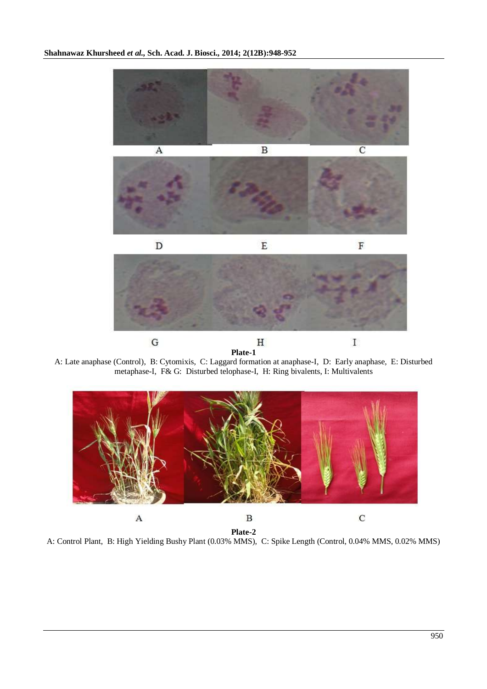

A: Late anaphase (Control), B: Cytomixis, C: Laggard formation at anaphase-I, D: Early anaphase, E: Disturbed metaphase-I, F& G: Disturbed telophase-I, H: Ring bivalents, I: Multivalents



**Plate-2** A: Control Plant, B: High Yielding Bushy Plant (0.03% MMS), C: Spike Length (Control, 0.04% MMS, 0.02% MMS)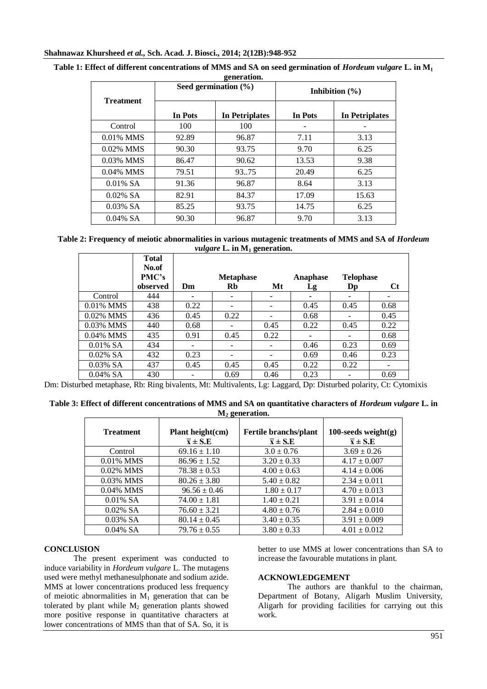| generation.      |                |                          |                    |                       |  |
|------------------|----------------|--------------------------|--------------------|-----------------------|--|
|                  |                | Seed germination $(\% )$ | Inhibition $(\% )$ |                       |  |
| <b>Treatment</b> | <b>In Pots</b> | <b>In Petriplates</b>    | In Pots            | <b>In Petriplates</b> |  |
| Control          | 100            | 100                      |                    |                       |  |
| $0.01\%$ MMS     | 92.89          | 96.87                    | 7.11               | 3.13                  |  |
| 0.02% MMS        | 90.30          | 93.75                    | 9.70               | 6.25                  |  |
| 0.03% MMS        | 86.47          | 90.62                    | 13.53              | 9.38                  |  |
| 0.04% MMS        | 79.51          | 93.75                    | 20.49              | 6.25                  |  |
| $0.01\%$ SA      | 91.36          | 96.87                    | 8.64               | 3.13                  |  |
| $0.02\%$ SA      | 82.91          | 84.37                    | 17.09              | 15.63                 |  |
| $0.03\%$ SA      | 85.25          | 93.75                    | 14.75              | 6.25                  |  |
| $0.04\%$ SA      | 90.30          | 96.87                    | 9.70               | 3.13                  |  |

Table 1: Effect of different concentrations of MMS and SA on seed germination of *Hordeum vulgare* L. in M<sub>1</sub> **generation.**

Table 2: Frequency of meiotic abnormalities in various mutagenic treatments of MMS and SA of *Hordeum vulgare* **L. in M<sup>1</sup> generation.**

|              | <b>Total</b><br>No.of |      |                  |      |          |                        |      |
|--------------|-----------------------|------|------------------|------|----------|------------------------|------|
|              | PMC's                 |      | <b>Metaphase</b> |      | Anaphase | <b>Telophase</b>       |      |
|              | observed              | Dm   | Rb               | Mt   | Lg       | $\mathbf{D}\mathbf{p}$ | Ct   |
| Control      | 444                   |      |                  |      |          |                        |      |
| $0.01\%$ MMS | 438                   | 0.22 |                  |      | 0.45     | 0.45                   | 0.68 |
| 0.02% MMS    | 436                   | 0.45 | 0.22             |      | 0.68     |                        | 0.45 |
| 0.03% MMS    | 440                   | 0.68 |                  | 0.45 | 0.22     | 0.45                   | 0.22 |
| $0.04\%$ MMS | 435                   | 0.91 | 0.45             | 0.22 |          |                        | 0.68 |
| $0.01\%$ SA  | 434                   |      |                  |      | 0.46     | 0.23                   | 0.69 |
| $0.02\%$ SA  | 432                   | 0.23 |                  |      | 0.69     | 0.46                   | 0.23 |
| $0.03\%$ SA  | 437                   | 0.45 | 0.45             | 0.45 | 0.22     | 0.22                   |      |
| $0.04\%$ SA  | 430                   |      | 0.69             | 0.46 | 0.23     |                        | 0.69 |

Dm: Disturbed metaphase, Rb: Ring bivalents, Mt: Multivalents, Lg: Laggard, Dp: Disturbed polarity, Ct: Cytomixis

| Table 3: Effect of different concentrations of MMS and SA on quantitative characters of <i>Hordeum vulgare</i> L. in |  |
|----------------------------------------------------------------------------------------------------------------------|--|
| M <sub>2</sub> generation.                                                                                           |  |

| <b>Treatment</b> | Plant height(cm)<br>$\overline{x} \pm S.E$ | Fertile branchs/plant<br>$\overline{x}$ ± S.E | 100-seeds weight $(g)$<br>$\overline{x}$ ± S.E |
|------------------|--------------------------------------------|-----------------------------------------------|------------------------------------------------|
| Control          | $69.16 \pm 1.10$                           | $3.0 \pm 0.76$                                | $3.69 \pm 0.26$                                |
| $0.01\%$ MMS     | $86.96 \pm 1.52$                           | $3.20 \pm 0.33$                               | $4.17 \pm 0.007$                               |
| 0.02% MMS        | $78.38 \pm 0.53$                           | $4.00 \pm 0.63$                               | $4.14 \pm 0.006$                               |
| 0.03% MMS        | $80.26 \pm 3.80$                           | $5.40 \pm 0.82$                               | $2.34 \pm 0.011$                               |
| $0.04\%$ MMS     | $96.56 \pm 0.46$                           | $1.80 \pm 0.17$                               | $4.70 \pm 0.013$                               |
| $0.01\%$ SA      | $74.00 \pm 1.81$                           | $1.40 \pm 0.21$                               | $3.91 \pm 0.014$                               |
| $0.02\%$ SA      | $76.60 \pm 3.21$                           | $4.80 \pm 0.76$                               | $2.84 \pm 0.010$                               |
| $0.03\%$ SA      | $80.14 \pm 0.45$                           | $3.40 \pm 0.35$                               | $3.91 \pm 0.009$                               |
| $0.04\%$ SA      | $79.76 \pm 0.55$                           | $3.80 \pm 0.33$                               | $4.01 \pm 0.012$                               |

# **CONCLUSION**

The present experiment was conducted to induce variability in *Hordeum vulgare* L. The mutagens used were methyl methanesulphonate and sodium azide. MMS at lower concentrations produced less frequency of meiotic abnormalities in  $M_1$  generation that can be tolerated by plant while  $M<sub>2</sub>$  generation plants showed more positive response in quantitative characters at lower concentrations of MMS than that of SA. So, it is

better to use MMS at lower concentrations than SA to increase the favourable mutations in plant.

## **ACKNOWLEDGEMENT**

The authors are thankful to the chairman, Department of Botany, Aligarh Muslim University, Aligarh for providing facilities for carrying out this work.